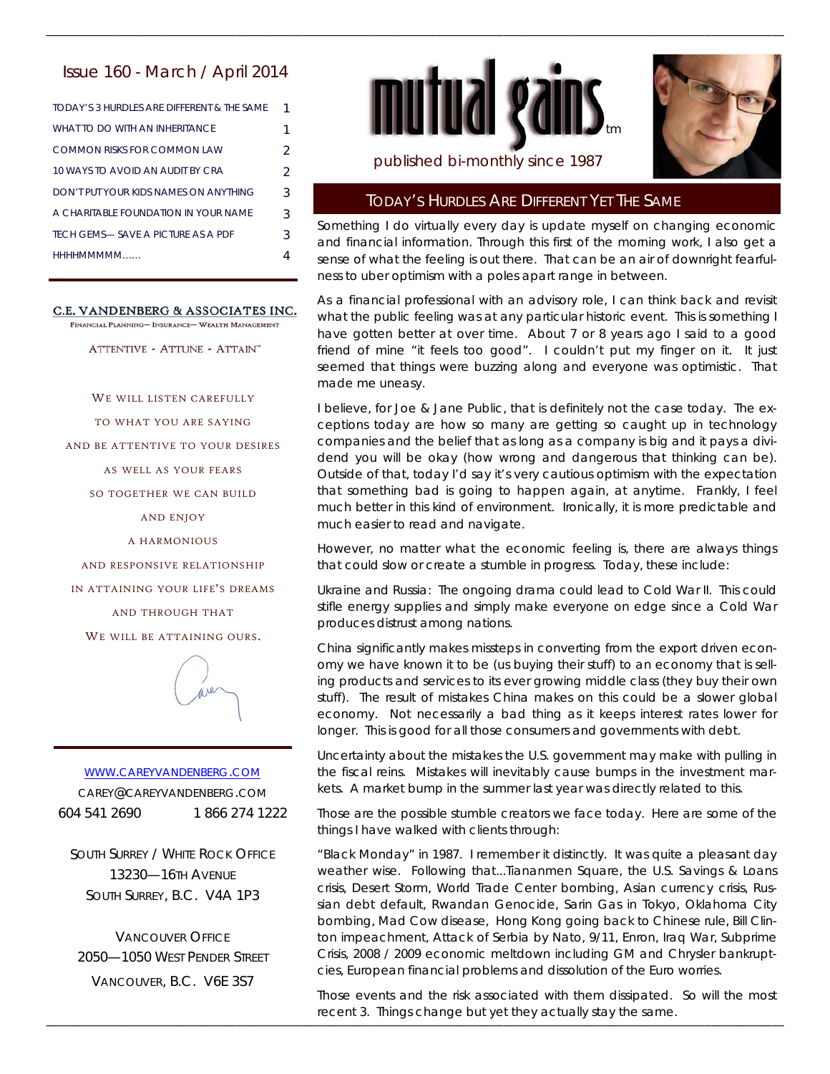# Issue 160 - March / April 2014

| TODAY'S 3 HURDI ES ARE DIFFERENT & THE SAME |   |
|---------------------------------------------|---|
| WHAT TO DO WITH AN INHERITANCE              |   |
| COMMON RISKS FOR COMMON LAW                 | 2 |
| 10 WAYS TO AVOID AN AUDIT BY CRA            | 2 |
| DON'T PUT YOUR KIDS NAMES ON ANYTHING       | 3 |
| A CHARITABLE FOUNDATION IN YOUR NAME        | 3 |
| TECH GEMS— SAVE A PICTURE AS A PDE          | 3 |
| HHHHMMMMM                                   |   |

C.E. VANDENBERG & ASSOCIATES INC.

FINANCIAL PLANNING- INSURANCE- WEALTH MANAGEMENT

ATTENTIVE - ATTUNE - ATTAIN"

WE WILL LISTEN CAREFULLY

TO WHAT YOU ARE SAYING

AND BE ATTENTIVE TO YOUR DESIRES

AS WELL AS YOUR FEARS

SO TOGETHER WE CAN BUILD

AND ENJOY

A HARMONIOUS

AND RESPONSIVE RELATIONSHIP

IN ATTAINING YOUR LIFE'S DREAMS

AND THROUGH THAT

WE WILL BE ATTAINING OURS.



WWW.CAREYVANDENBERG.COM CAREY@CAREYVANDENBERG.COM 604 541 2690 1 866 274 1222

SOUTH SURREY / WHITE ROCK OFFICE 13230—16TH AVENUE SOUTH SURREY, B.C. V4A 1P3

VANCOUVER OFFICE 2050—1050 WEST PENDER STREET VANCOUVER, B.C. V6E 3S7



\_\_\_\_\_\_\_\_\_\_\_\_\_\_\_\_\_\_\_\_\_\_\_\_\_\_\_\_\_\_\_\_\_\_\_\_\_\_\_\_\_\_\_\_\_\_\_\_\_\_\_\_\_\_\_\_\_\_\_\_\_\_\_\_\_\_\_\_\_\_\_\_\_\_\_\_\_\_\_\_\_\_\_\_\_\_\_\_\_\_\_\_\_\_\_\_\_\_\_\_\_\_\_\_\_\_\_\_\_\_\_\_\_\_\_\_\_\_\_\_\_



# published bi-monthly since 1987

### TODAY'S HURDLES ARE DIFFERENT YET THE SAME

Something I do virtually every day is update myself on changing economic and financial information. Through this first of the morning work, I also get a sense of what the feeling is out there. That can be an air of downright fearfulness to uber optimism with a poles apart range in between.

As a financial professional with an advisory role, I can think back and revisit what the public feeling was at any particular historic event. This is something I have gotten better at over time. About 7 or 8 years ago I said to a good friend of mine "it feels too good". I couldn't put my finger on it. It just seemed that things were buzzing along and everyone was optimistic. That made me uneasy.

I believe, for Joe & Jane Public, that is definitely not the case today. The exceptions today are how so many are getting so caught up in technology companies and the belief that as long as a company is big and it pays a dividend you will be okay (how wrong and dangerous that thinking can be). Outside of that, today I'd say it's very cautious optimism with the expectation that something bad is going to happen again, at anytime. Frankly, I feel much better in this kind of environment. Ironically, it is more predictable and much easier to read and navigate.

However, no matter what the economic feeling is, there are always things that could slow or create a stumble in progress. Today, these include:

Ukraine and Russia: The ongoing drama could lead to Cold War II. This could stifle energy supplies and simply make everyone on edge since a Cold War produces distrust among nations.

China significantly makes missteps in converting from the export driven economy we have known it to be (us buying their stuff) to an economy that is selling products and services to its ever growing middle class (they buy their own stuff). The result of mistakes China makes on this could be a slower global economy. Not necessarily a bad thing as it keeps interest rates lower for longer. This is good for all those consumers and governments with debt.

Uncertainty about the mistakes the U.S. government may make with pulling in the fiscal reins. Mistakes will inevitably cause bumps in the investment markets. A market bump in the summer last year was directly related to this.

Those are the possible stumble creators we face today. Here are some of the things I have walked with clients through:

"Black Monday" in 1987. I remember it distinctly. It was quite a pleasant day weather wise. Following that...Tiananmen Square, the U.S. Savings & Loans crisis, Desert Storm, World Trade Center bombing, Asian currency crisis, Russian debt default, Rwandan Genocide, Sarin Gas in Tokyo, Oklahoma City bombing, Mad Cow disease, Hong Kong going back to Chinese rule, Bill Clinton impeachment, Attack of Serbia by Nato, 9/11, Enron, Iraq War, Subprime Crisis, 2008 / 2009 economic meltdown including GM and Chrysler bankruptcies, European financial problems and dissolution of the Euro worries.

\_\_\_\_\_\_\_\_\_\_\_\_\_\_\_\_\_\_\_\_\_\_\_\_\_\_\_\_\_\_\_\_\_\_\_\_\_\_\_\_\_\_\_\_\_\_\_\_\_\_\_\_\_\_\_\_\_\_\_\_\_\_\_\_\_\_\_\_\_\_\_\_\_\_\_\_\_\_\_\_\_\_\_\_\_\_\_\_\_\_\_\_\_\_\_\_\_\_\_\_\_\_\_\_\_\_\_\_\_\_\_\_\_\_\_\_\_\_\_\_\_ recent 3. Things change but yet they actually stay the same. Those events and the risk associated with them dissipated. So will the most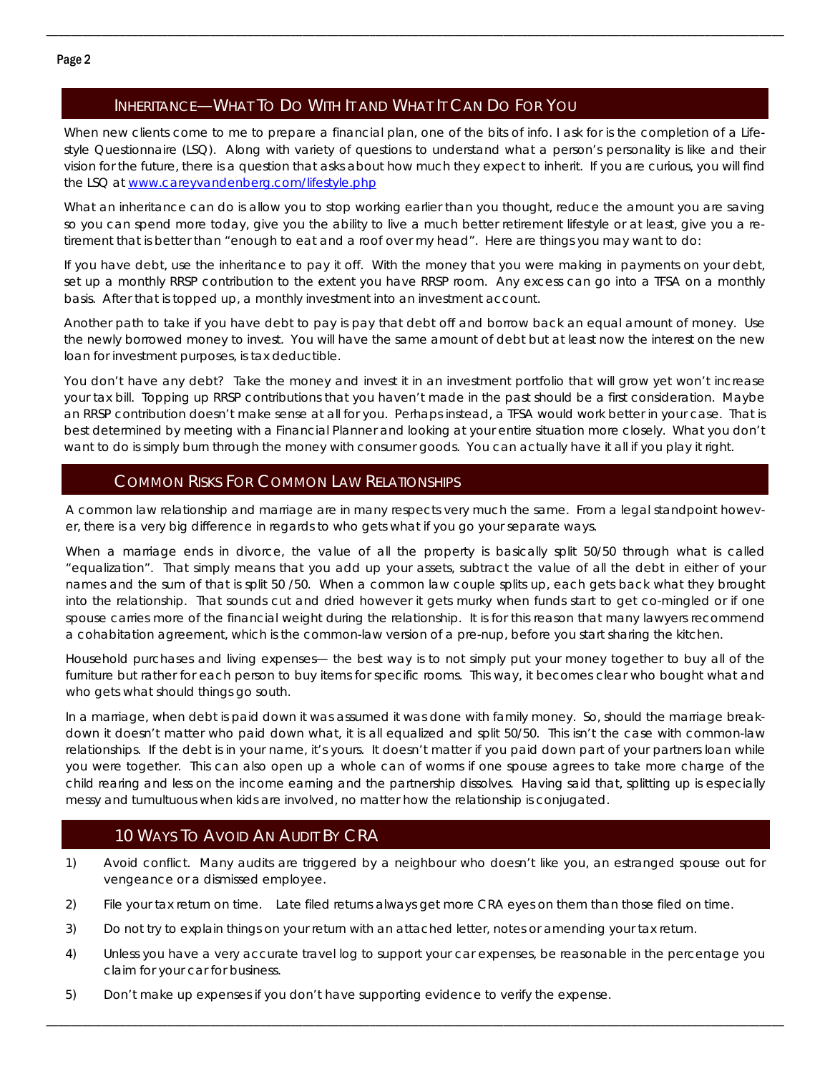# INHERITANCE—WHAT TO DO WITH IT AND WHAT IT CAN DO FOR YOU

When new clients come to me to prepare a financial plan, one of the bits of info. I ask for is the completion of a Lifestyle Questionnaire (LSQ). Along with variety of questions to understand what a person's personality is like and their vision for the future, there is a question that asks about how much they expect to inherit. If you are curious, you will find the LSQ at www.careyvandenberg.com/lifestyle.php

\_\_\_\_\_\_\_\_\_\_\_\_\_\_\_\_\_\_\_\_\_\_\_\_\_\_\_\_\_\_\_\_\_\_\_\_\_\_\_\_\_\_\_\_\_\_\_\_\_\_\_\_\_\_\_\_\_\_\_\_\_\_\_\_\_\_\_\_\_\_\_\_\_\_\_\_\_\_\_\_\_\_\_\_\_\_\_\_\_\_\_\_\_\_\_\_\_\_\_\_\_\_\_\_\_\_\_\_\_\_\_\_\_\_\_\_\_\_\_\_\_

What an inheritance can do is allow you to stop working earlier than you thought, reduce the amount you are saving so you can spend more today, give you the ability to live a much better retirement lifestyle or at least, give you a retirement that is better than "enough to eat and a roof over my head". Here are things you may want to do:

If you have debt, use the inheritance to pay it off. With the money that you were making in payments on your debt, set up a monthly RRSP contribution to the extent you have RRSP room. Any excess can go into a TFSA on a monthly basis. After that is topped up, a monthly investment into an investment account.

Another path to take if you have debt to pay is pay that debt off and borrow back an equal amount of money. Use the newly borrowed money to invest. You will have the same amount of debt but at least now the interest on the new loan for investment purposes, is tax deductible.

You don't have any debt? Take the money and invest it in an investment portfolio that will grow yet won't increase your tax bill. Topping up RRSP contributions that you haven't made in the past should be a first consideration. Maybe an RRSP contribution doesn't make sense at all for you. Perhaps instead, a TFSA would work better in your case. That is best determined by meeting with a Financial Planner and looking at your entire situation more closely. What you don't want to do is simply burn through the money with consumer goods. You can actually have it all if you play it right.

# COMMON RISKS FOR COMMON LAW RELATIONSHIPS

A common law relationship and marriage are in many respects very much the same. From a legal standpoint however, there is a very big difference in regards to who gets what if you go your separate ways.

When a marriage ends in divorce, the value of all the property is basically split 50/50 through what is called "equalization". That simply means that you add up your assets, subtract the value of all the debt in either of your names and the sum of that is split 50 /50. When a common law couple splits up, each gets back what they brought into the relationship. That sounds cut and dried however it gets murky when funds start to get co-mingled or if one spouse carries more of the financial weight during the relationship. It is for this reason that many lawyers recommend a cohabitation agreement, which is the common-law version of a pre-nup, before you start sharing the kitchen.

Household purchases and living expenses— the best way is to not simply put your money together to buy all of the furniture but rather for each person to buy items for specific rooms. This way, it becomes clear who bought what and who gets what should things go south.

In a marriage, when debt is paid down it was assumed it was done with family money. So, should the marriage breakdown it doesn't matter who paid down what, it is all equalized and split 50/50. This isn't the case with common-law relationships. If the debt is in your name, it's yours. It doesn't matter if you paid down part of your partners loan while you were together. This can also open up a whole can of worms if one spouse agrees to take more charge of the child rearing and less on the income earning and the partnership dissolves. Having said that, splitting up is especially messy and tumultuous when kids are involved, no matter how the relationship is conjugated.

## 10 WAYS TO AVOID AN AUDIT BY CRA

- 1) Avoid conflict. Many audits are triggered by a neighbour who doesn't like you, an estranged spouse out for vengeance or a dismissed employee.
- 2) File your tax return on time. Late filed returns always get more CRA eyes on them than those filed on time.
- 3) Do not try to explain things on your return with an attached letter, notes or amending your tax return.
- 4) Unless you have a very accurate travel log to support your car expenses, be reasonable in the percentage you claim for your car for business.

\_\_\_\_\_\_\_\_\_\_\_\_\_\_\_\_\_\_\_\_\_\_\_\_\_\_\_\_\_\_\_\_\_\_\_\_\_\_\_\_\_\_\_\_\_\_\_\_\_\_\_\_\_\_\_\_\_\_\_\_\_\_\_\_\_\_\_\_\_\_\_\_\_\_\_\_\_\_\_\_\_\_\_\_\_\_\_\_\_\_\_\_\_\_\_\_\_\_\_\_\_\_\_\_\_\_\_\_\_\_\_\_\_\_\_\_\_\_\_\_\_

5) Don't make up expenses if you don't have supporting evidence to verify the expense.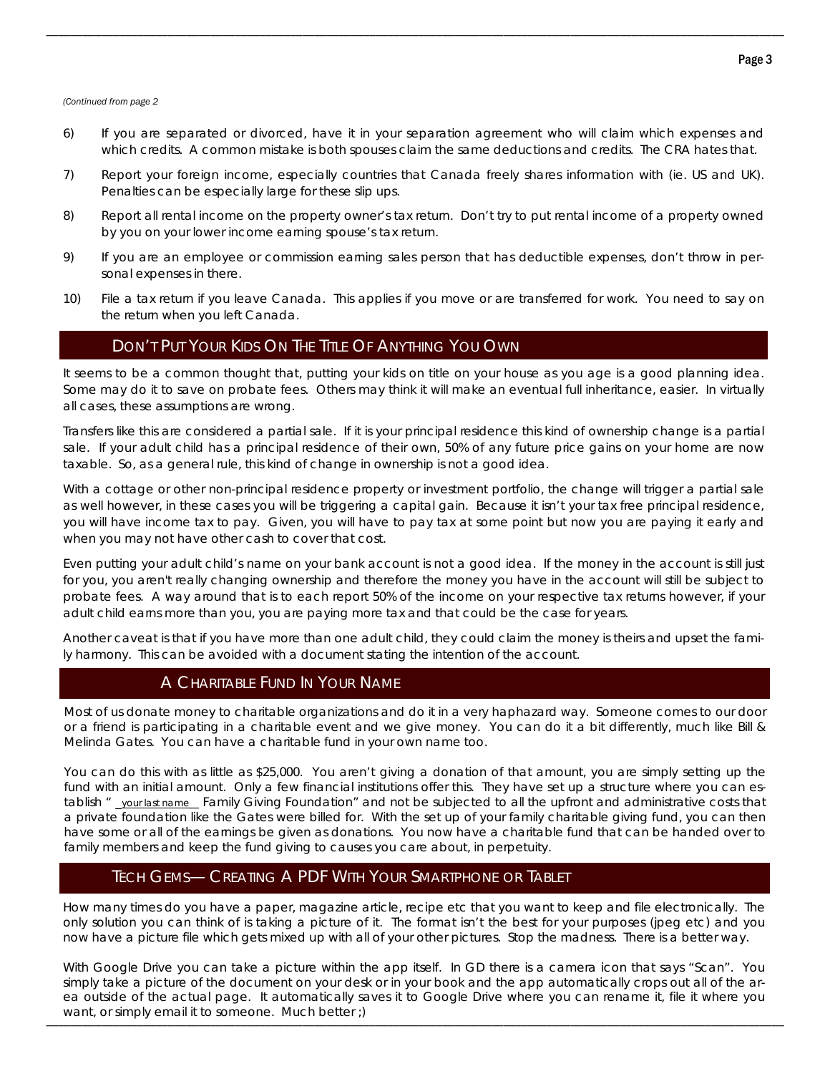#### *(Continued from page 2*

6) If you are separated or divorced, have it in your separation agreement who will claim which expenses and which credits. A common mistake is both spouses claim the same deductions and credits. The CRA hates that.

\_\_\_\_\_\_\_\_\_\_\_\_\_\_\_\_\_\_\_\_\_\_\_\_\_\_\_\_\_\_\_\_\_\_\_\_\_\_\_\_\_\_\_\_\_\_\_\_\_\_\_\_\_\_\_\_\_\_\_\_\_\_\_\_\_\_\_\_\_\_\_\_\_\_\_\_\_\_\_\_\_\_\_\_\_\_\_\_\_\_\_\_\_\_\_\_\_\_\_\_\_\_\_\_\_\_\_\_\_\_\_\_\_\_\_\_\_\_\_\_\_

- 7) Report your foreign income, especially countries that Canada freely shares information with (ie. US and UK). Penalties can be especially large for these slip ups.
- 8) Report all rental income on the property owner's tax return. Don't try to put rental income of a property owned by you on your lower income earning spouse's tax return.
- 9) If you are an employee or commission earning sales person that has deductible expenses, don't throw in personal expenses in there.
- 10) File a tax return if you leave Canada. This applies if you move or are transferred for work. You need to say on the return when you left Canada.

## DON'T PUT YOUR KIDS ON THE TITLE OF ANYTHING YOU OWN

It seems to be a common thought that, putting your kids on title on your house as you age is a good planning idea. Some may do it to save on probate fees. Others may think it will make an eventual full inheritance, easier. In virtually all cases, these assumptions are wrong.

Transfers like this are considered a partial sale. If it is your principal residence this kind of ownership change is a partial sale. If your adult child has a principal residence of their own, 50% of any future price gains on your home are now taxable. So, as a general rule, this kind of change in ownership is not a good idea.

With a cottage or other non-principal residence property or investment portfolio, the change will trigger a partial sale as well however, in these cases you will be triggering a capital gain. Because it isn't your tax free principal residence, you will have income tax to pay. Given, you will have to pay tax at some point but now you are paying it early and when you may not have other cash to cover that cost.

Even putting your adult child's name on your bank account is not a good idea. If the money in the account is still just for you, you aren't really changing ownership and therefore the money you have in the account will still be subject to probate fees. A way around that is to each report 50% of the income on your respective tax returns however, if your adult child earns more than you, you are paying more tax and that could be the case for years.

Another caveat is that if you have more than one adult child, they could claim the money is theirs and upset the family harmony. This can be avoided with a document stating the intention of the account.

# A CHARITABLE FUND IN YOUR NAME

Most of us donate money to charitable organizations and do it in a very haphazard way. Someone comes to our door or a friend is participating in a charitable event and we give money. You can do it a bit differently, much like Bill & Melinda Gates. You can have a charitable fund in your own name too.

You can do this with as little as \$25,000. You aren't giving a donation of that amount, you are simply setting up the fund with an initial amount. Only a few financial institutions offer this. They have set up a structure where you can establish " \_your last name\_\_ Family Giving Foundation" and not be subjected to all the upfront and administrative costs that a private foundation like the Gates were billed for. With the set up of your family charitable giving fund, you can then have some or all of the earnings be given as donations. You now have a charitable fund that can be handed over to family members and keep the fund giving to causes you care about, in perpetuity.

## TECH GEMS— CREATING A PDF WITH YOUR SMARTPHONE OR TABLET

How many times do you have a paper, magazine article, recipe etc that you want to keep and file electronically. The only solution you can think of is taking a picture of it. The format isn't the best for your purposes (jpeg etc) and you now have a picture file which gets mixed up with all of your other pictures. Stop the madness. There is a better way.

\_\_\_\_\_\_\_\_\_\_\_\_\_\_\_\_\_\_\_\_\_\_\_\_\_\_\_\_\_\_\_\_\_\_\_\_\_\_\_\_\_\_\_\_\_\_\_\_\_\_\_\_\_\_\_\_\_\_\_\_\_\_\_\_\_\_\_\_\_\_\_\_\_\_\_\_\_\_\_\_\_\_\_\_\_\_\_\_\_\_\_\_\_\_\_\_\_\_\_\_\_\_\_\_\_\_\_\_\_\_\_\_\_\_\_\_\_\_\_\_\_ want, or simply email it to someone. Much better ;) With Google Drive you can take a picture within the app itself. In GD there is a camera icon that says "Scan". You simply take a picture of the document on your desk or in your book and the app automatically crops out all of the area outside of the actual page. It automatically saves it to Google Drive where you can rename it, file it where you